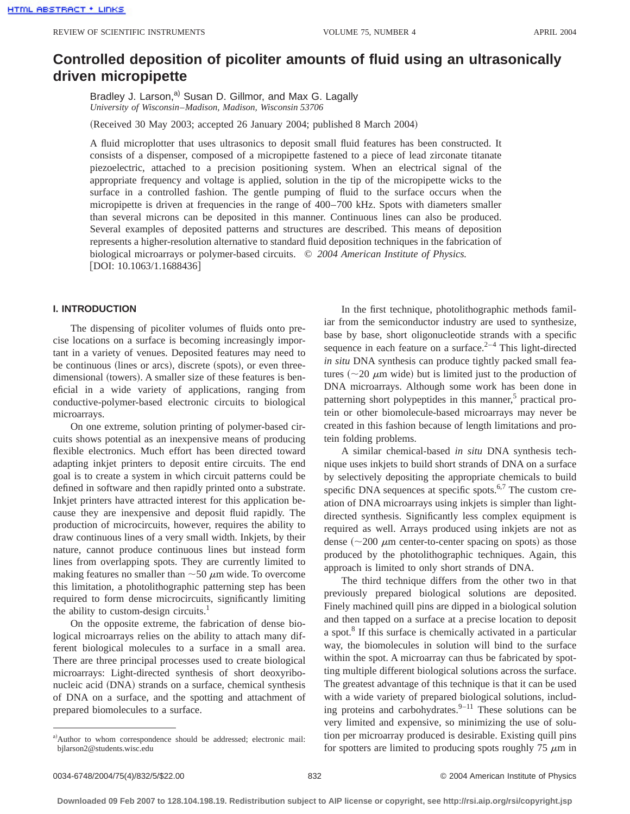# **Controlled deposition of picoliter amounts of fluid using an ultrasonically driven micropipette**

Bradley J. Larson,<sup>a)</sup> Susan D. Gillmor, and Max G. Lagally *University of Wisconsin*–*Madison, Madison, Wisconsin 53706*

(Received 30 May 2003; accepted 26 January 2004; published 8 March 2004)

A fluid microplotter that uses ultrasonics to deposit small fluid features has been constructed. It consists of a dispenser, composed of a micropipette fastened to a piece of lead zirconate titanate piezoelectric, attached to a precision positioning system. When an electrical signal of the appropriate frequency and voltage is applied, solution in the tip of the micropipette wicks to the surface in a controlled fashion. The gentle pumping of fluid to the surface occurs when the micropipette is driven at frequencies in the range of 400–700 kHz. Spots with diameters smaller than several microns can be deposited in this manner. Continuous lines can also be produced. Several examples of deposited patterns and structures are described. This means of deposition represents a higher-resolution alternative to standard fluid deposition techniques in the fabrication of biological microarrays or polymer-based circuits. © *2004 American Institute of Physics.*  $[$ DOI: 10.1063/1.1688436 $]$ 

#### **I. INTRODUCTION**

The dispensing of picoliter volumes of fluids onto precise locations on a surface is becoming increasingly important in a variety of venues. Deposited features may need to be continuous (lines or arcs), discrete (spots), or even threedimensional (towers). A smaller size of these features is beneficial in a wide variety of applications, ranging from conductive-polymer-based electronic circuits to biological microarrays.

On one extreme, solution printing of polymer-based circuits shows potential as an inexpensive means of producing flexible electronics. Much effort has been directed toward adapting inkjet printers to deposit entire circuits. The end goal is to create a system in which circuit patterns could be defined in software and then rapidly printed onto a substrate. Inkjet printers have attracted interest for this application because they are inexpensive and deposit fluid rapidly. The production of microcircuits, however, requires the ability to draw continuous lines of a very small width. Inkjets, by their nature, cannot produce continuous lines but instead form lines from overlapping spots. They are currently limited to making features no smaller than  $\sim$  50  $\mu$ m wide. To overcome this limitation, a photolithographic patterning step has been required to form dense microcircuits, significantly limiting the ability to custom-design circuits. $<sup>1</sup>$ </sup>

On the opposite extreme, the fabrication of dense biological microarrays relies on the ability to attach many different biological molecules to a surface in a small area. There are three principal processes used to create biological microarrays: Light-directed synthesis of short deoxyribonucleic acid (DNA) strands on a surface, chemical synthesis of DNA on a surface, and the spotting and attachment of prepared biomolecules to a surface.

In the first technique, photolithographic methods familiar from the semiconductor industry are used to synthesize, base by base, short oligonucleotide strands with a specific sequence in each feature on a surface. $2^{-4}$  This light-directed *in situ* DNA synthesis can produce tightly packed small features  $~(-20 \mu m)$  wide) but is limited just to the production of DNA microarrays. Although some work has been done in patterning short polypeptides in this manner,<sup>5</sup> practical protein or other biomolecule-based microarrays may never be created in this fashion because of length limitations and protein folding problems.

A similar chemical-based *in situ* DNA synthesis technique uses inkjets to build short strands of DNA on a surface by selectively depositing the appropriate chemicals to build specific DNA sequences at specific spots.<sup>6,7</sup> The custom creation of DNA microarrays using inkjets is simpler than lightdirected synthesis. Significantly less complex equipment is required as well. Arrays produced using inkjets are not as dense  $({\sim}200 \mu m$  center-to-center spacing on spots) as those produced by the photolithographic techniques. Again, this approach is limited to only short strands of DNA.

The third technique differs from the other two in that previously prepared biological solutions are deposited. Finely machined quill pins are dipped in a biological solution and then tapped on a surface at a precise location to deposit a spot.8 If this surface is chemically activated in a particular way, the biomolecules in solution will bind to the surface within the spot. A microarray can thus be fabricated by spotting multiple different biological solutions across the surface. The greatest advantage of this technique is that it can be used with a wide variety of prepared biological solutions, including proteins and carbohydrates. $9-11$  These solutions can be very limited and expensive, so minimizing the use of solution per microarray produced is desirable. Existing quill pins for spotters are limited to producing spots roughly 75  $\mu$ m in

a)Author to whom correspondence should be addressed; electronic mail: bjlarson2@students.wisc.edu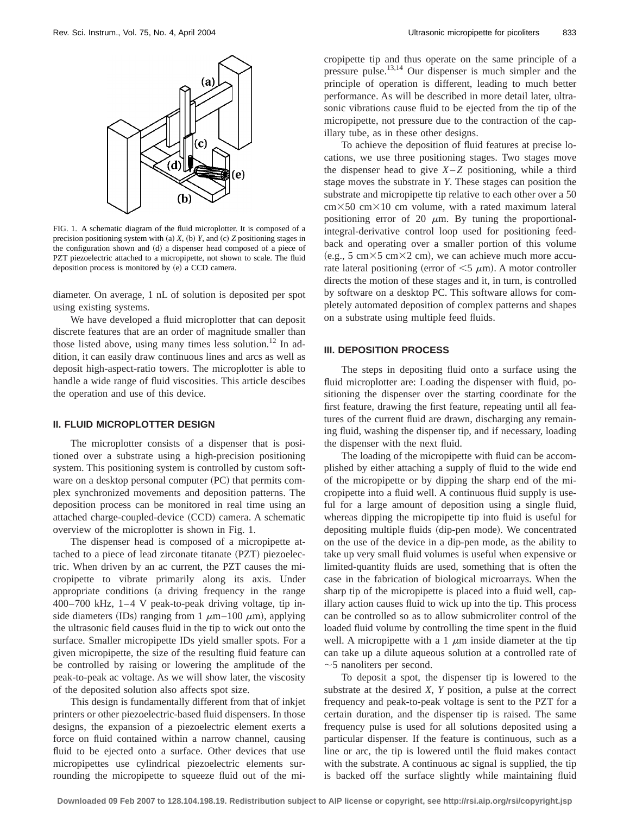

FIG. 1. A schematic diagram of the fluid microplotter. It is composed of a precision positioning system with (a)  $X$ , (b)  $Y$ , and (c)  $Z$  positioning stages in the configuration shown and (d) a dispenser head composed of a piece of PZT piezoelectric attached to a micropipette, not shown to scale. The fluid deposition process is monitored by (e) a CCD camera.

diameter. On average, 1 nL of solution is deposited per spot using existing systems.

We have developed a fluid microplotter that can deposit discrete features that are an order of magnitude smaller than those listed above, using many times less solution.<sup>12</sup> In addition, it can easily draw continuous lines and arcs as well as deposit high-aspect-ratio towers. The microplotter is able to handle a wide range of fluid viscosities. This article descibes the operation and use of this device.

## **II. FLUID MICROPLOTTER DESIGN**

The microplotter consists of a dispenser that is positioned over a substrate using a high-precision positioning system. This positioning system is controlled by custom software on a desktop personal computer (PC) that permits complex synchronized movements and deposition patterns. The deposition process can be monitored in real time using an attached charge-coupled-device (CCD) camera. A schematic overview of the microplotter is shown in Fig. 1.

The dispenser head is composed of a micropipette attached to a piece of lead zirconate titanate (PZT) piezoelectric. When driven by an ac current, the PZT causes the micropipette to vibrate primarily along its axis. Under appropriate conditions (a driving frequency in the range 400–700 kHz, 1–4 V peak-to-peak driving voltage, tip inside diameters (IDs) ranging from 1  $\mu$ m–100  $\mu$ m), applying the ultrasonic field causes fluid in the tip to wick out onto the surface. Smaller micropipette IDs yield smaller spots. For a given micropipette, the size of the resulting fluid feature can be controlled by raising or lowering the amplitude of the peak-to-peak ac voltage. As we will show later, the viscosity of the deposited solution also affects spot size.

This design is fundamentally different from that of inkjet printers or other piezoelectric-based fluid dispensers. In those designs, the expansion of a piezoelectric element exerts a force on fluid contained within a narrow channel, causing fluid to be ejected onto a surface. Other devices that use micropipettes use cylindrical piezoelectric elements surrounding the micropipette to squeeze fluid out of the micropipette tip and thus operate on the same principle of a pressure pulse.13,14 Our dispenser is much simpler and the principle of operation is different, leading to much better performance. As will be described in more detail later, ultrasonic vibrations cause fluid to be ejected from the tip of the micropipette, not pressure due to the contraction of the capillary tube, as in these other designs.

To achieve the deposition of fluid features at precise locations, we use three positioning stages. Two stages move the dispenser head to give  $X-Z$  positioning, while a third stage moves the substrate in *Y*. These stages can position the substrate and micropipette tip relative to each other over a 50  $cm \times 50$  cm $\times 10$  cm volume, with a rated maximum lateral positioning error of 20  $\mu$ m. By tuning the proportionalintegral-derivative control loop used for positioning feedback and operating over a smaller portion of this volume (e.g., 5 cm $\times$ 5 cm $\times$ 2 cm), we can achieve much more accurate lateral positioning (error of  $\leq$ 5  $\mu$ m). A motor controller directs the motion of these stages and it, in turn, is controlled by software on a desktop PC. This software allows for completely automated deposition of complex patterns and shapes on a substrate using multiple feed fluids.

### **III. DEPOSITION PROCESS**

The steps in depositing fluid onto a surface using the fluid microplotter are: Loading the dispenser with fluid, positioning the dispenser over the starting coordinate for the first feature, drawing the first feature, repeating until all features of the current fluid are drawn, discharging any remaining fluid, washing the dispenser tip, and if necessary, loading the dispenser with the next fluid.

The loading of the micropipette with fluid can be accomplished by either attaching a supply of fluid to the wide end of the micropipette or by dipping the sharp end of the micropipette into a fluid well. A continuous fluid supply is useful for a large amount of deposition using a single fluid, whereas dipping the micropipette tip into fluid is useful for depositing multiple fluids (dip-pen mode). We concentrated on the use of the device in a dip-pen mode, as the ability to take up very small fluid volumes is useful when expensive or limited-quantity fluids are used, something that is often the case in the fabrication of biological microarrays. When the sharp tip of the micropipette is placed into a fluid well, capillary action causes fluid to wick up into the tip. This process can be controlled so as to allow submicroliter control of the loaded fluid volume by controlling the time spent in the fluid well. A micropipette with a 1  $\mu$ m inside diameter at the tip can take up a dilute aqueous solution at a controlled rate of  $\sim$ 5 nanoliters per second.

To deposit a spot, the dispenser tip is lowered to the substrate at the desired *X*, *Y* position, a pulse at the correct frequency and peak-to-peak voltage is sent to the PZT for a certain duration, and the dispenser tip is raised. The same frequency pulse is used for all solutions deposited using a particular dispenser. If the feature is continuous, such as a line or arc, the tip is lowered until the fluid makes contact with the substrate. A continuous ac signal is supplied, the tip is backed off the surface slightly while maintaining fluid

**Downloaded 09 Feb 2007 to 128.104.198.19. Redistribution subject to AIP license or copyright, see http://rsi.aip.org/rsi/copyright.jsp**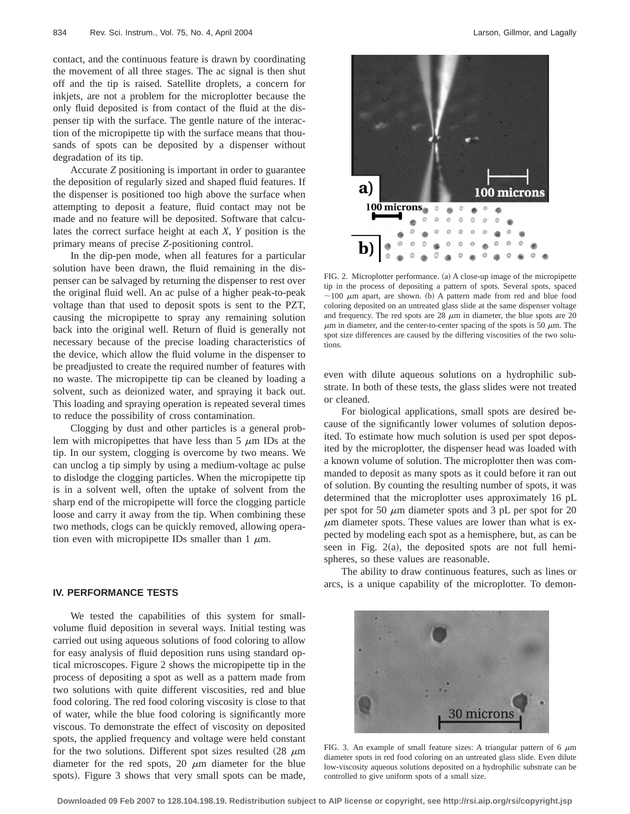contact, and the continuous feature is drawn by coordinating the movement of all three stages. The ac signal is then shut off and the tip is raised. Satellite droplets, a concern for inkjets, are not a problem for the microplotter because the only fluid deposited is from contact of the fluid at the dispenser tip with the surface. The gentle nature of the interaction of the micropipette tip with the surface means that thousands of spots can be deposited by a dispenser without degradation of its tip.

Accurate *Z* positioning is important in order to guarantee the deposition of regularly sized and shaped fluid features. If the dispenser is positioned too high above the surface when attempting to deposit a feature, fluid contact may not be made and no feature will be deposited. Software that calculates the correct surface height at each *X*, *Y* position is the primary means of precise *Z*-positioning control.

In the dip-pen mode, when all features for a particular solution have been drawn, the fluid remaining in the dispenser can be salvaged by returning the dispenser to rest over the original fluid well. An ac pulse of a higher peak-to-peak voltage than that used to deposit spots is sent to the PZT, causing the micropipette to spray any remaining solution back into the original well. Return of fluid is generally not necessary because of the precise loading characteristics of the device, which allow the fluid volume in the dispenser to be preadjusted to create the required number of features with no waste. The micropipette tip can be cleaned by loading a solvent, such as deionized water, and spraying it back out. This loading and spraying operation is repeated several times to reduce the possibility of cross contamination.

Clogging by dust and other particles is a general problem with micropipettes that have less than  $5 \mu m$  IDs at the tip. In our system, clogging is overcome by two means. We can unclog a tip simply by using a medium-voltage ac pulse to dislodge the clogging particles. When the micropipette tip is in a solvent well, often the uptake of solvent from the sharp end of the micropipette will force the clogging particle loose and carry it away from the tip. When combining these two methods, clogs can be quickly removed, allowing operation even with micropipette IDs smaller than 1  $\mu$ m.

#### **IV. PERFORMANCE TESTS**

We tested the capabilities of this system for smallvolume fluid deposition in several ways. Initial testing was carried out using aqueous solutions of food coloring to allow for easy analysis of fluid deposition runs using standard optical microscopes. Figure 2 shows the micropipette tip in the process of depositing a spot as well as a pattern made from two solutions with quite different viscosities, red and blue food coloring. The red food coloring viscosity is close to that of water, while the blue food coloring is significantly more viscous. To demonstrate the effect of viscosity on deposited spots, the applied frequency and voltage were held constant for the two solutions. Different spot sizes resulted  $(28 \mu m)$ diameter for the red spots, 20  $\mu$ m diameter for the blue spots). Figure 3 shows that very small spots can be made,



FIG. 2. Microplotter performance. (a) A close-up image of the micropipette tip in the process of depositing a pattern of spots. Several spots, spaced  $\sim$ 100  $\mu$ m apart, are shown. (b) A pattern made from red and blue food coloring deposited on an untreated glass slide at the same dispenser voltage and frequency. The red spots are  $28 \mu m$  in diameter, the blue spots are  $20 \mu m$  $\mu$ m in diameter, and the center-to-center spacing of the spots is 50  $\mu$ m. The spot size differences are caused by the differing viscosities of the two solutions.

even with dilute aqueous solutions on a hydrophilic substrate. In both of these tests, the glass slides were not treated or cleaned.

For biological applications, small spots are desired because of the significantly lower volumes of solution deposited. To estimate how much solution is used per spot deposited by the microplotter, the dispenser head was loaded with a known volume of solution. The microplotter then was commanded to deposit as many spots as it could before it ran out of solution. By counting the resulting number of spots, it was determined that the microplotter uses approximately 16 pL per spot for 50  $\mu$ m diameter spots and 3 pL per spot for 20  $\mu$ m diameter spots. These values are lower than what is expected by modeling each spot as a hemisphere, but, as can be seen in Fig.  $2(a)$ , the deposited spots are not full hemispheres, so these values are reasonable.

The ability to draw continuous features, such as lines or arcs, is a unique capability of the microplotter. To demon-



FIG. 3. An example of small feature sizes: A triangular pattern of 6  $\mu$ m diameter spots in red food coloring on an untreated glass slide. Even dilute low-viscosity aqueous solutions deposited on a hydrophilic substrate can be controlled to give uniform spots of a small size.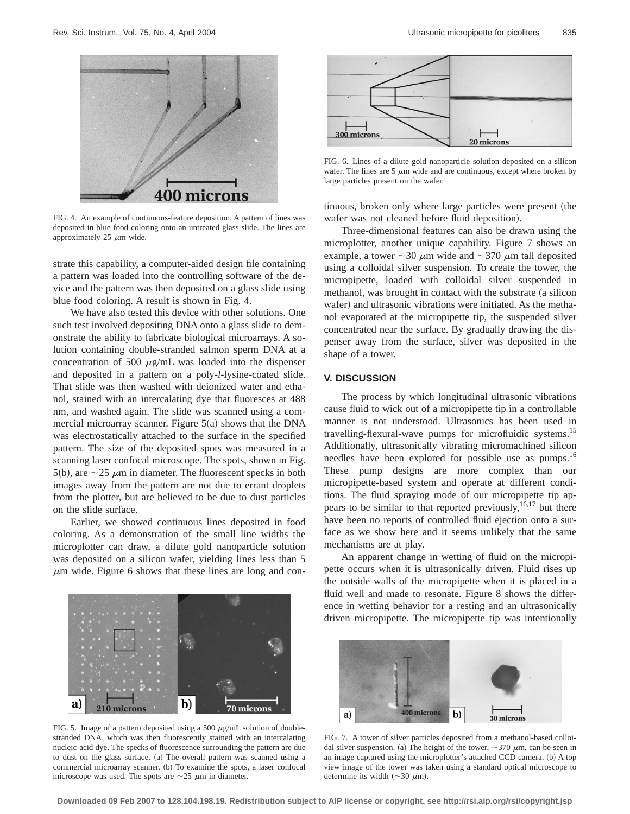

FIG. 4. An example of continuous-feature deposition. A pattern of lines was deposited in blue food coloring onto an untreated glass slide. The lines are approximately 25  $\mu$ m wide.

strate this capability, a computer-aided design file containing a pattern was loaded into the controlling software of the device and the pattern was then deposited on a glass slide using blue food coloring. A result is shown in Fig. 4.

We have also tested this device with other solutions. One such test involved depositing DNA onto a glass slide to demonstrate the ability to fabricate biological microarrays. A solution containing double-stranded salmon sperm DNA at a concentration of 500  $\mu$ g/mL was loaded into the dispenser and deposited in a pattern on a poly-*l*-lysine-coated slide. That slide was then washed with deionized water and ethanol, stained with an intercalating dye that fluoresces at 488 nm, and washed again. The slide was scanned using a commercial microarray scanner. Figure  $5(a)$  shows that the DNA was electrostatically attached to the surface in the specified pattern. The size of the deposited spots was measured in a scanning laser confocal microscope. The spots, shown in Fig. 5(b), are  $\sim$ 25  $\mu$ m in diameter. The fluorescent specks in both images away from the pattern are not due to errant droplets from the plotter, but are believed to be due to dust particles on the slide surface.

Earlier, we showed continuous lines deposited in food coloring. As a demonstration of the small line widths the microplotter can draw, a dilute gold nanoparticle solution was deposited on a silicon wafer, yielding lines less than 5  $\mu$ m wide. Figure 6 shows that these lines are long and con-



FIG. 5. Image of a pattern deposited using a 500  $\mu$ g/mL solution of doublestranded DNA, which was then fluorescently stained with an intercalating nucleic-acid dye. The specks of fluorescence surrounding the pattern are due to dust on the glass surface. (a) The overall pattern was scanned using a commercial microarray scanner. (b) To examine the spots, a laser confocal microscope was used. The spots are  $\sim$ 25  $\mu$ m in diameter.



FIG. 6. Lines of a dilute gold nanoparticle solution deposited on a silicon wafer. The lines are  $5 \mu m$  wide and are continuous, except where broken by large particles present on the wafer.

tinuous, broken only where large particles were present (the wafer was not cleaned before fluid deposition).

Three-dimensional features can also be drawn using the microplotter, another unique capability. Figure 7 shows an example, a tower  $\sim$ 30  $\mu$ m wide and  $\sim$ 370  $\mu$ m tall deposited using a colloidal silver suspension. To create the tower, the micropipette, loaded with colloidal silver suspended in methanol, was brought in contact with the substrate (a silicon wafer) and ultrasonic vibrations were initiated. As the methanol evaporated at the micropipette tip, the suspended silver concentrated near the surface. By gradually drawing the dispenser away from the surface, silver was deposited in the shape of a tower.

#### **V. DISCUSSION**

The process by which longitudinal ultrasonic vibrations cause fluid to wick out of a micropipette tip in a controllable manner is not understood. Ultrasonics has been used in travelling-flexural-wave pumps for microfluidic systems.15 Additionally, ultrasonically vibrating micromachined silicon needles have been explored for possible use as pumps.<sup>16</sup> These pump designs are more complex than our micropipette-based system and operate at different conditions. The fluid spraying mode of our micropipette tip appears to be similar to that reported previously,  $16,17$  but there have been no reports of controlled fluid ejection onto a surface as we show here and it seems unlikely that the same mechanisms are at play.

An apparent change in wetting of fluid on the micropipette occurs when it is ultrasonically driven. Fluid rises up the outside walls of the micropipette when it is placed in a fluid well and made to resonate. Figure 8 shows the difference in wetting behavior for a resting and an ultrasonically driven micropipette. The micropipette tip was intentionally



FIG. 7. A tower of silver particles deposited from a methanol-based colloidal silver suspension. (a) The height of the tower,  $\sim$ 370  $\mu$ m, can be seen in an image captured using the microplotter's attached CCD camera. (b) A top view image of the tower was taken using a standard optical microscope to determine its width  $({\sim}30 \mu m)$ .

**Downloaded 09 Feb 2007 to 128.104.198.19. Redistribution subject to AIP license or copyright, see http://rsi.aip.org/rsi/copyright.jsp**